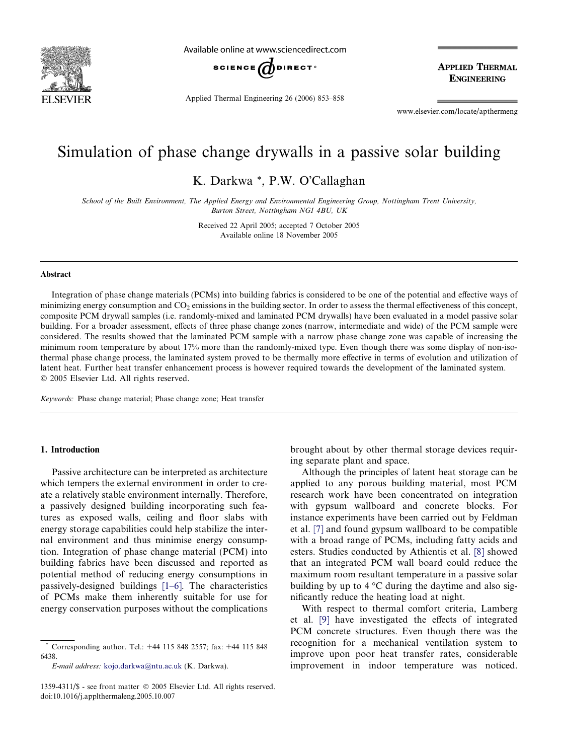

Available online at www.sciencedirect.com



Applied Thermal Engineering 26 (2006) 853–858

**APPLIED THERMAL ENGINEERING** 

www.elsevier.com/locate/apthermeng

## Simulation of phase change drywalls in a passive solar building

K. Darkwa \*, P.W. O'Callaghan

School of the Built Environment, The Applied Energy and Environmental Engineering Group, Nottingham Trent University, Burton Street, Nottingham NG1 4BU, UK

> Received 22 April 2005; accepted 7 October 2005 Available online 18 November 2005

#### Abstract

Integration of phase change materials (PCMs) into building fabrics is considered to be one of the potential and effective ways of minimizing energy consumption and  $CO<sub>2</sub>$  emissions in the building sector. In order to assess the thermal effectiveness of this concept, composite PCM drywall samples (i.e. randomly-mixed and laminated PCM drywalls) have been evaluated in a model passive solar building. For a broader assessment, effects of three phase change zones (narrow, intermediate and wide) of the PCM sample were considered. The results showed that the laminated PCM sample with a narrow phase change zone was capable of increasing the minimum room temperature by about 17% more than the randomly-mixed type. Even though there was some display of non-isothermal phase change process, the laminated system proved to be thermally more effective in terms of evolution and utilization of latent heat. Further heat transfer enhancement process is however required towards the development of the laminated system. 2005 Elsevier Ltd. All rights reserved.

Keywords: Phase change material; Phase change zone; Heat transfer

### 1. Introduction

Passive architecture can be interpreted as architecture which tempers the external environment in order to create a relatively stable environment internally. Therefore, a passively designed building incorporating such features as exposed walls, ceiling and floor slabs with energy storage capabilities could help stabilize the internal environment and thus minimise energy consumption. Integration of phase change material (PCM) into building fabrics have been discussed and reported as potential method of reducing energy consumptions in passively-designed buildings [\[1–6\].](#page--1-0) The characteristics of PCMs make them inherently suitable for use for energy conservation purposes without the complications

E-mail address: [kojo.darkwa@ntu.ac.uk](mailto:kojo.darkwa@ntu.ac.uk) (K. Darkwa).

brought about by other thermal storage devices requiring separate plant and space.

Although the principles of latent heat storage can be applied to any porous building material, most PCM research work have been concentrated on integration with gypsum wallboard and concrete blocks. For instance experiments have been carried out by Feldman et al. [\[7\]](#page--1-0) and found gypsum wallboard to be compatible with a broad range of PCMs, including fatty acids and esters. Studies conducted by Athientis et al. [\[8\]](#page--1-0) showed that an integrated PCM wall board could reduce the maximum room resultant temperature in a passive solar building by up to  $4^{\circ}$ C during the daytime and also significantly reduce the heating load at night.

With respect to thermal comfort criteria, Lamberg et al. [\[9\]](#page--1-0) have investigated the effects of integrated PCM concrete structures. Even though there was the recognition for a mechanical ventilation system to improve upon poor heat transfer rates, considerable improvement in indoor temperature was noticed.

<sup>\*</sup> Corresponding author. Tel.: +44 115 848 2557; fax: +44 115 848 6438.

<sup>1359-4311/\$ -</sup> see front matter © 2005 Elsevier Ltd. All rights reserved. doi:10.1016/j.applthermaleng.2005.10.007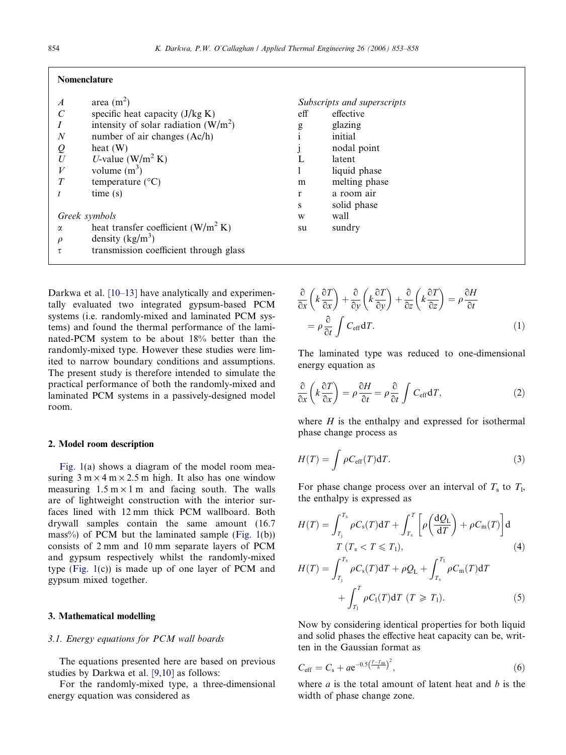#### Nomenclature

| $\overline{A}$ | area $(m^2)$                           | Suł    |
|----------------|----------------------------------------|--------|
|                | specific heat capacity $(J/kg K)$      | eff    |
|                | intensity of solar radiation $(W/m^2)$ | g<br>. |
| $\overline{N}$ | number of air changes $(Ac/h)$         |        |
|                | heat $(W)$                             |        |
| U              | U-value $(W/m^2 K)$                    |        |
| V              | volume $(m^3)$                         |        |
| Т              | temperature $(^{\circ}C)$              | m      |
|                | time(s)                                | r      |
|                |                                        | S      |
| Greek symbols  |                                        | W      |
| α              | heat transfer coefficient $(W/m^2 K)$  | su     |
| $\rho$         | density $(kg/m^3)$                     |        |
|                | transmission coefficient through glass |        |

Darkwa et al. [\[10–13\]](#page--1-0) have analytically and experimentally evaluated two integrated gypsum-based PCM systems (i.e. randomly-mixed and laminated PCM systems) and found the thermal performance of the laminated-PCM system to be about 18% better than the randomly-mixed type. However these studies were limited to narrow boundary conditions and assumptions. The present study is therefore intended to simulate the practical performance of both the randomly-mixed and laminated PCM systems in a passively-designed model room.

#### 2. Model room description

[Fig. 1\(](#page--1-0)a) shows a diagram of the model room measuring  $3 \text{ m} \times 4 \text{ m} \times 2.5 \text{ m}$  high. It also has one window measuring  $1.5 \text{ m} \times 1 \text{ m}$  and facing south. The walls are of lightweight construction with the interior surfaces lined with 12 mm thick PCM wallboard. Both drywall samples contain the same amount (16.7 mass%) of PCM but the laminated sample ([Fig. 1](#page--1-0)(b)) consists of 2 mm and 10 mm separate layers of PCM and gypsum respectively whilst the randomly-mixed type [\(Fig. 1\(](#page--1-0)c)) is made up of one layer of PCM and gypsum mixed together.

#### 3. Mathematical modelling

#### 3.1. Energy equations for PCM wall boards

The equations presented here are based on previous studies by Darkwa et al. [\[9,10\]](#page--1-0) as follows:

For the randomly-mixed type, a three-dimensional energy equation was considered as

| Subscripts and superscripts |               |  |
|-----------------------------|---------------|--|
| eff                         | effective     |  |
|                             | glazing       |  |
| $\frac{g}{i}$               | initial       |  |
| j                           | nodal point   |  |
| L                           | latent        |  |
| 1                           | liquid phase  |  |
| m                           | melting phase |  |
| r                           | a room air    |  |
| S                           | solid phase   |  |
| W                           | wall          |  |
| su                          | sundry        |  |
|                             |               |  |

$$
\frac{\partial}{\partial x}\left(k\frac{\partial T}{\partial x}\right) + \frac{\partial}{\partial y}\left(k\frac{\partial T}{\partial y}\right) + \frac{\partial}{\partial z}\left(k\frac{\partial T}{\partial z}\right) = \rho\frac{\partial H}{\partial t}
$$
\n
$$
= \rho\frac{\partial}{\partial t}\int C_{\text{eff}} dT.
$$
\n(1)

The laminated type was reduced to one-dimensional energy equation as

$$
\frac{\partial}{\partial x}\left(k\frac{\partial T}{\partial x}\right) = \rho \frac{\partial H}{\partial t} = \rho \frac{\partial}{\partial t} \int C_{\text{eff}} dT, \qquad (2)
$$

where  $H$  is the enthalpy and expressed for isothermal phase change process as

$$
H(T) = \int \rho C_{\rm eff}(T) dT.
$$
 (3)

For phase change process over an interval of  $T_s$  to  $T_1$ , the enthalpy is expressed as

$$
H(T) = \int_{T_j}^{T_s} \rho C_s(T) dT + \int_{T_s}^{T} \left[ \rho \left( \frac{dQ_L}{dT} \right) + \rho C_m(T) \right] d
$$
  
\n
$$
T (T_s < T \leq T_1),
$$
  
\n
$$
C^{T_s} \qquad C^{T_1}
$$
\n(4)

$$
H(T) = \int_{T_j}^{T_s} \rho C_s(T) dT + \rho Q_L + \int_{T_s}^{T_1} \rho C_m(T) dT + \int_{T_1}^{T} \rho C_l(T) dT (T \ge T_1).
$$
 (5)

Now by considering identical properties for both liquid and solid phases the effective heat capacity can be, written in the Gaussian format as

$$
C_{\rm eff} = C_{\rm s} + a e^{-0.5\left(\frac{T - T_{\rm m}}{b}\right)^2},\tag{6}
$$

where  $a$  is the total amount of latent heat and  $b$  is the width of phase change zone.